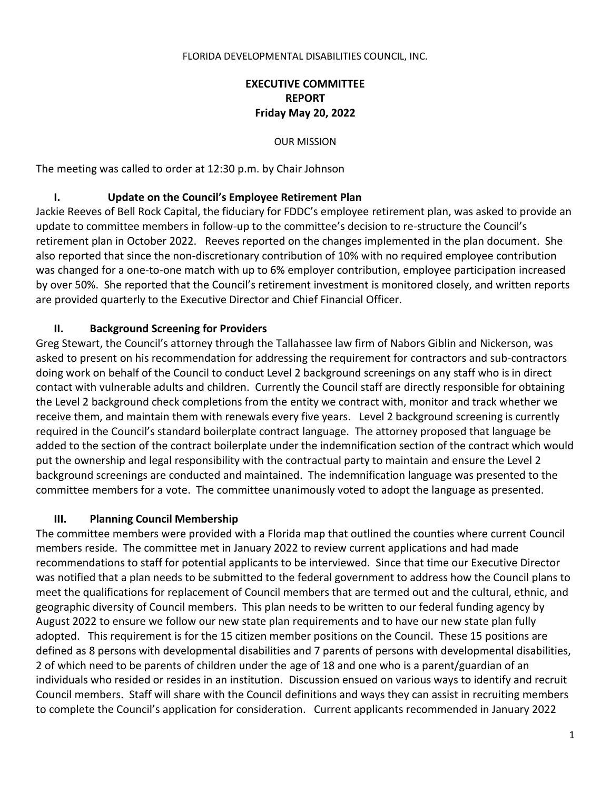#### FLORIDA DEVELOPMENTAL DISABILITIES COUNCIL, INC.

## **EXECUTIVE COMMITTEE REPORT Friday May 20, 2022**

OUR MISSION

The meeting was called to order at 12:30 p.m. by Chair Johnson

#### **I. Update on the Council's Employee Retirement Plan**

Jackie Reeves of Bell Rock Capital, the fiduciary for FDDC's employee retirement plan, was asked to provide an update to committee members in follow-up to the committee's decision to re-structure the Council's retirement plan in October 2022. Reeves reported on the changes implemented in the plan document. She also reported that since the non-discretionary contribution of 10% with no required employee contribution was changed for a one-to-one match with up to 6% employer contribution, employee participation increased by over 50%. She reported that the Council's retirement investment is monitored closely, and written reports are provided quarterly to the Executive Director and Chief Financial Officer.

## **II. Background Screening for Providers**

Greg Stewart, the Council's attorney through the Tallahassee law firm of Nabors Giblin and Nickerson, was asked to present on his recommendation for addressing the requirement for contractors and sub-contractors doing work on behalf of the Council to conduct Level 2 background screenings on any staff who is in direct contact with vulnerable adults and children. Currently the Council staff are directly responsible for obtaining the Level 2 background check completions from the entity we contract with, monitor and track whether we receive them, and maintain them with renewals every five years. Level 2 background screening is currently required in the Council's standard boilerplate contract language. The attorney proposed that language be added to the section of the contract boilerplate under the indemnification section of the contract which would put the ownership and legal responsibility with the contractual party to maintain and ensure the Level 2 background screenings are conducted and maintained. The indemnification language was presented to the committee members for a vote. The committee unanimously voted to adopt the language as presented.

#### **III. Planning Council Membership**

The committee members were provided with a Florida map that outlined the counties where current Council members reside. The committee met in January 2022 to review current applications and had made recommendations to staff for potential applicants to be interviewed. Since that time our Executive Director was notified that a plan needs to be submitted to the federal government to address how the Council plans to meet the qualifications for replacement of Council members that are termed out and the cultural, ethnic, and geographic diversity of Council members. This plan needs to be written to our federal funding agency by August 2022 to ensure we follow our new state plan requirements and to have our new state plan fully adopted. This requirement is for the 15 citizen member positions on the Council. These 15 positions are defined as 8 persons with developmental disabilities and 7 parents of persons with developmental disabilities, 2 of which need to be parents of children under the age of 18 and one who is a parent/guardian of an individuals who resided or resides in an institution. Discussion ensued on various ways to identify and recruit Council members. Staff will share with the Council definitions and ways they can assist in recruiting members to complete the Council's application for consideration. Current applicants recommended in January 2022